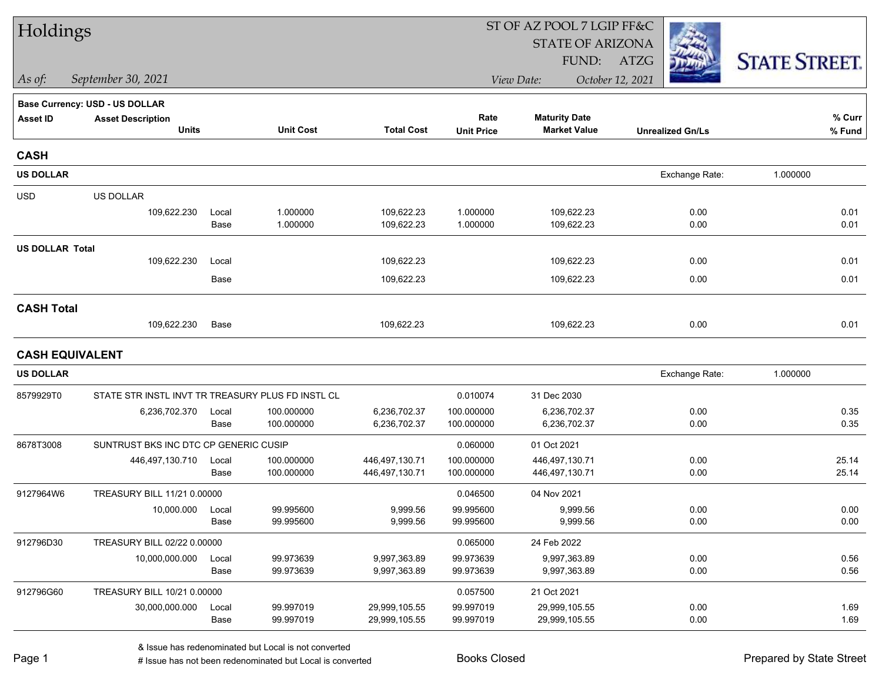| Holdings               |                                                   |       |                  |                   |                   | ST OF AZ POOL 7 LGIP FF&C |                         |                      |
|------------------------|---------------------------------------------------|-------|------------------|-------------------|-------------------|---------------------------|-------------------------|----------------------|
|                        |                                                   |       |                  |                   |                   | <b>STATE OF ARIZONA</b>   |                         |                      |
|                        |                                                   |       |                  |                   |                   | FUND:                     | ATZG                    | <b>STATE STREET.</b> |
| $\vert$ As of:         | September 30, 2021                                |       |                  |                   |                   | View Date:                | October 12, 2021        |                      |
|                        | <b>Base Currency: USD - US DOLLAR</b>             |       |                  |                   |                   |                           |                         |                      |
| <b>Asset ID</b>        | <b>Asset Description</b>                          |       |                  |                   | Rate              | <b>Maturity Date</b>      |                         | % Curr               |
|                        | <b>Units</b>                                      |       | <b>Unit Cost</b> | <b>Total Cost</b> | <b>Unit Price</b> | <b>Market Value</b>       | <b>Unrealized Gn/Ls</b> | % Fund               |
| <b>CASH</b>            |                                                   |       |                  |                   |                   |                           |                         |                      |
| <b>US DOLLAR</b>       |                                                   |       |                  |                   |                   |                           | Exchange Rate:          | 1.000000             |
| <b>USD</b>             | US DOLLAR                                         |       |                  |                   |                   |                           |                         |                      |
|                        | 109,622.230                                       | Local | 1.000000         | 109,622.23        | 1.000000          | 109,622.23                | 0.00                    | 0.01                 |
|                        |                                                   | Base  | 1.000000         | 109,622.23        | 1.000000          | 109,622.23                | 0.00                    | 0.01                 |
| <b>US DOLLAR Total</b> |                                                   |       |                  |                   |                   |                           |                         |                      |
|                        | 109,622.230                                       | Local |                  | 109,622.23        |                   | 109,622.23                | 0.00                    | 0.01                 |
|                        |                                                   | Base  |                  | 109,622.23        |                   | 109,622.23                | 0.00                    | 0.01                 |
| <b>CASH Total</b>      |                                                   |       |                  |                   |                   |                           |                         |                      |
|                        | 109,622.230                                       | Base  |                  | 109,622.23        |                   | 109,622.23                | 0.00                    | 0.01                 |
| <b>CASH EQUIVALENT</b> |                                                   |       |                  |                   |                   |                           |                         |                      |
| <b>US DOLLAR</b>       |                                                   |       |                  |                   |                   |                           | Exchange Rate:          | 1.000000             |
| 8579929T0              | STATE STR INSTL INVT TR TREASURY PLUS FD INSTL CL |       |                  |                   | 0.010074          | 31 Dec 2030               |                         |                      |
|                        | 6,236,702.370                                     | Local | 100.000000       | 6,236,702.37      | 100.000000        | 6,236,702.37              | 0.00                    | 0.35                 |
|                        |                                                   | Base  | 100.000000       | 6,236,702.37      | 100.000000        | 6,236,702.37              | 0.00                    | 0.35                 |
| 8678T3008              | SUNTRUST BKS INC DTC CP GENERIC CUSIP             |       |                  |                   | 0.060000          | 01 Oct 2021               |                         |                      |
|                        | 446,497,130.710                                   | Local | 100.000000       | 446,497,130.71    | 100.000000        | 446,497,130.71            | 0.00                    | 25.14                |
|                        |                                                   | Base  | 100.000000       | 446,497,130.71    | 100.000000        | 446,497,130.71            | 0.00                    | 25.14                |
| 9127964W6              | TREASURY BILL 11/21 0.00000                       |       |                  |                   | 0.046500          | 04 Nov 2021               |                         |                      |
|                        | 10,000.000                                        | Local | 99.995600        | 9,999.56          | 99.995600         | 9,999.56                  | 0.00                    | 0.00                 |
|                        |                                                   | Base  | 99.995600        | 9,999.56          | 99.995600         | 9,999.56                  | 0.00                    | 0.00                 |
| 912796D30              | TREASURY BILL 02/22 0.00000                       |       |                  |                   | 0.065000          | 24 Feb 2022               |                         |                      |
|                        | 10,000,000.000                                    | Local | 99.973639        | 9,997,363.89      | 99.973639         | 9,997,363.89              | 0.00                    | 0.56                 |
|                        |                                                   | Base  | 99.973639        | 9,997,363.89      | 99.973639         | 9,997,363.89              | 0.00                    | 0.56                 |
| 912796G60              | TREASURY BILL 10/21 0.00000                       |       |                  |                   | 0.057500          | 21 Oct 2021               |                         |                      |
|                        | 30,000,000.000                                    | Local | 99.997019        | 29,999,105.55     | 99.997019         | 29,999,105.55             | 0.00                    | 1.69                 |
|                        |                                                   | Base  | 99.997019        | 29,999,105.55     | 99.997019         | 29,999,105.55             | 0.00                    | 1.69                 |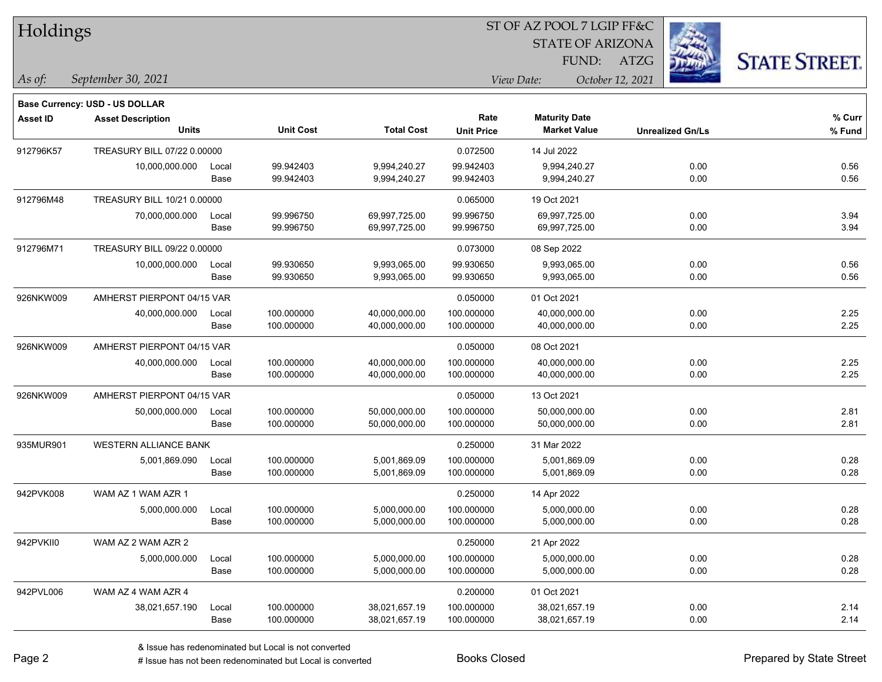| Holdings        |                                       |       |                  |                   |                   | 51 OF AZ POOL 7 LGIP FF&C |                         |                     |
|-----------------|---------------------------------------|-------|------------------|-------------------|-------------------|---------------------------|-------------------------|---------------------|
|                 |                                       |       |                  |                   |                   | <b>STATE OF ARIZONA</b>   |                         |                     |
|                 |                                       |       |                  |                   |                   | FUND:                     | ATZG                    | <b>STATE STREET</b> |
| As of:          | September 30, 2021                    |       |                  |                   |                   | View Date:                | October 12, 2021        |                     |
|                 | <b>Base Currency: USD - US DOLLAR</b> |       |                  |                   |                   |                           |                         |                     |
| <b>Asset ID</b> | <b>Asset Description</b>              |       |                  |                   | Rate              | <b>Maturity Date</b>      |                         | % Curr              |
|                 | <b>Units</b>                          |       | <b>Unit Cost</b> | <b>Total Cost</b> | <b>Unit Price</b> | <b>Market Value</b>       | <b>Unrealized Gn/Ls</b> | % Fund              |
| 912796K57       | TREASURY BILL 07/22 0.00000           |       |                  |                   | 0.072500          | 14 Jul 2022               |                         |                     |
|                 | 10,000,000.000                        | Local | 99.942403        | 9,994,240.27      | 99.942403         | 9,994,240.27              | 0.00                    | 0.56                |
|                 |                                       | Base  | 99.942403        | 9,994,240.27      | 99.942403         | 9,994,240.27              | 0.00                    | 0.56                |
| 912796M48       | TREASURY BILL 10/21 0.00000           |       |                  |                   | 0.065000          | 19 Oct 2021               |                         |                     |
|                 | 70,000,000.000                        | Local | 99.996750        | 69,997,725.00     | 99.996750         | 69,997,725.00             | 0.00                    | 3.94                |
|                 |                                       | Base  | 99.996750        | 69,997,725.00     | 99.996750         | 69,997,725.00             | 0.00                    | 3.94                |
| 912796M71       | TREASURY BILL 09/22 0.00000           |       |                  |                   | 0.073000          | 08 Sep 2022               |                         |                     |
|                 | 10,000,000.000                        | Local | 99.930650        | 9,993,065.00      | 99.930650         | 9,993,065.00              | 0.00                    | 0.56                |
|                 |                                       | Base  | 99.930650        | 9,993,065.00      | 99.930650         | 9,993,065.00              | 0.00                    | 0.56                |
| 926NKW009       | AMHERST PIERPONT 04/15 VAR            |       |                  |                   | 0.050000          | 01 Oct 2021               |                         |                     |
|                 | 40,000,000.000                        | Local | 100.000000       | 40,000,000.00     | 100.000000        | 40,000,000.00             | 0.00                    | 2.25                |
|                 |                                       | Base  | 100.000000       | 40,000,000.00     | 100.000000        | 40,000,000.00             | 0.00                    | 2.25                |
| 926NKW009       | AMHERST PIERPONT 04/15 VAR            |       |                  |                   | 0.050000          | 08 Oct 2021               |                         |                     |
|                 | 40,000,000.000                        | Local | 100.000000       | 40,000,000.00     | 100.000000        | 40,000,000.00             | 0.00                    | 2.25                |
|                 |                                       | Base  | 100.000000       | 40,000,000.00     | 100.000000        | 40,000,000.00             | 0.00                    | 2.25                |
| 926NKW009       | AMHERST PIERPONT 04/15 VAR            |       |                  |                   | 0.050000          | 13 Oct 2021               |                         |                     |
|                 | 50,000,000.000                        | Local | 100.000000       | 50,000,000.00     | 100.000000        | 50,000,000.00             | 0.00                    | 2.81                |
|                 |                                       | Base  | 100.000000       | 50,000,000.00     | 100.000000        | 50,000,000.00             | 0.00                    | 2.81                |
| 935MUR901       | <b>WESTERN ALLIANCE BANK</b>          |       |                  |                   | 0.250000          | 31 Mar 2022               |                         |                     |
|                 | 5,001,869.090                         | Local | 100.000000       | 5,001,869.09      | 100.000000        | 5,001,869.09              | 0.00                    | 0.28                |
|                 |                                       | Base  | 100.000000       | 5,001,869.09      | 100.000000        | 5,001,869.09              | 0.00                    | 0.28                |
| 942PVK008       | WAM AZ 1 WAM AZR 1                    |       |                  |                   | 0.250000          | 14 Apr 2022               |                         |                     |
|                 | 5,000,000.000                         | Local | 100.000000       | 5,000,000.00      | 100.000000        | 5,000,000.00              | 0.00                    | 0.28                |
|                 |                                       | Base  | 100.000000       | 5,000,000.00      | 100.000000        | 5,000,000.00              | 0.00                    | 0.28                |
| 942PVKII0       | WAM AZ 2 WAM AZR 2                    |       |                  |                   | 0.250000          | 21 Apr 2022               |                         |                     |
|                 | 5,000,000.000                         | Local | 100.000000       | 5,000,000.00      | 100.000000        | 5,000,000.00              | 0.00                    | 0.28                |
|                 |                                       | Base  | 100.000000       | 5,000,000.00      | 100.000000        | 5,000,000.00              | 0.00                    | 0.28                |
| 942PVL006       | WAM AZ 4 WAM AZR 4                    |       |                  |                   | 0.200000          | 01 Oct 2021               |                         |                     |
|                 | 38,021,657.190                        | Local | 100.000000       | 38,021,657.19     | 100.000000        | 38,021,657.19             | 0.00                    | 2.14                |
|                 |                                       | Base  | 100.000000       | 38,021,657.19     | 100.000000        | 38,021,657.19             | 0.00                    | 2.14                |

 $ST$  OF A Z POOL 7 LCIP FF&C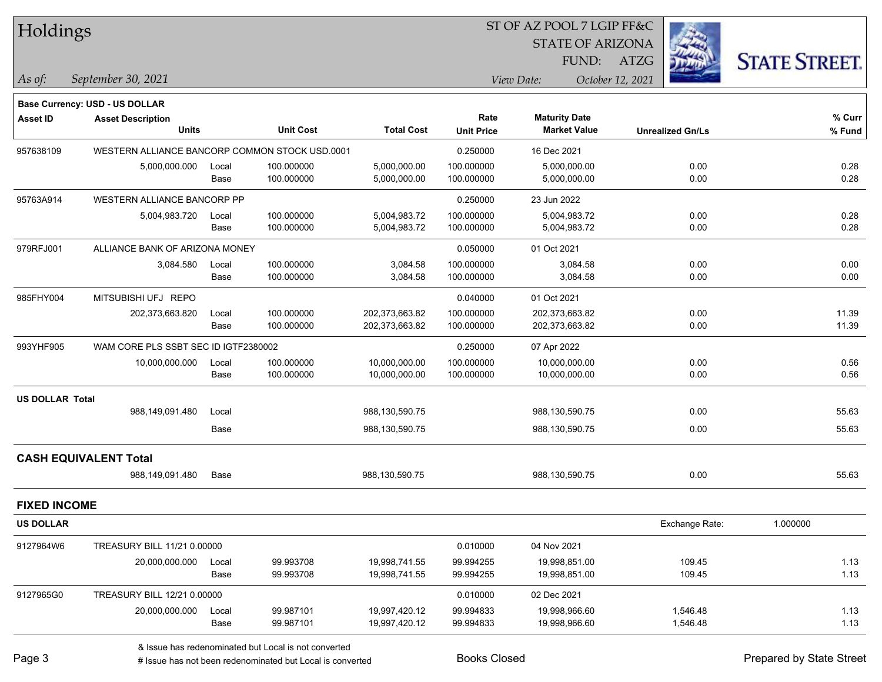| Holdings               |                                                |       |                  |                   |                   | ST OF AZ POOL 7 LGIP FF&C |                  |                         |                      |
|------------------------|------------------------------------------------|-------|------------------|-------------------|-------------------|---------------------------|------------------|-------------------------|----------------------|
|                        |                                                |       |                  |                   |                   | <b>STATE OF ARIZONA</b>   |                  |                         |                      |
|                        |                                                |       |                  |                   |                   | FUND:                     | <b>ATZG</b>      |                         | <b>STATE STREET.</b> |
| As of:                 | September 30, 2021                             |       |                  |                   |                   | View Date:                | October 12, 2021 |                         |                      |
|                        | <b>Base Currency: USD - US DOLLAR</b>          |       |                  |                   |                   |                           |                  |                         |                      |
| <b>Asset ID</b>        | <b>Asset Description</b>                       |       |                  |                   | Rate              | <b>Maturity Date</b>      |                  |                         | % Curr               |
|                        | Units                                          |       | <b>Unit Cost</b> | <b>Total Cost</b> | <b>Unit Price</b> | <b>Market Value</b>       |                  | <b>Unrealized Gn/Ls</b> | % Fund               |
| 957638109              | WESTERN ALLIANCE BANCORP COMMON STOCK USD.0001 |       |                  |                   | 0.250000          | 16 Dec 2021               |                  |                         |                      |
|                        | 5,000,000.000                                  | Local | 100.000000       | 5,000,000.00      | 100.000000        | 5,000,000.00              |                  | 0.00                    | 0.28                 |
|                        |                                                | Base  | 100.000000       | 5,000,000.00      | 100.000000        | 5,000,000.00              |                  | 0.00                    | 0.28                 |
| 95763A914              | WESTERN ALLIANCE BANCORP PP                    |       |                  |                   | 0.250000          | 23 Jun 2022               |                  |                         |                      |
|                        | 5,004,983.720                                  | Local | 100.000000       | 5,004,983.72      | 100.000000        | 5,004,983.72              |                  | 0.00                    | 0.28                 |
|                        |                                                | Base  | 100.000000       | 5,004,983.72      | 100.000000        | 5,004,983.72              |                  | 0.00                    | 0.28                 |
| 979RFJ001              | ALLIANCE BANK OF ARIZONA MONEY                 |       |                  |                   | 0.050000          | 01 Oct 2021               |                  |                         |                      |
|                        | 3,084.580                                      | Local | 100.000000       | 3,084.58          | 100.000000        | 3,084.58                  |                  | 0.00                    | 0.00                 |
|                        |                                                | Base  | 100.000000       | 3,084.58          | 100.000000        | 3,084.58                  |                  | 0.00                    | 0.00                 |
| 985FHY004              | MITSUBISHI UFJ REPO                            |       |                  |                   | 0.040000          | 01 Oct 2021               |                  |                         |                      |
|                        | 202,373,663.820                                | Local | 100.000000       | 202,373,663.82    | 100.000000        | 202,373,663.82            |                  | 0.00                    | 11.39                |
|                        |                                                | Base  | 100.000000       | 202,373,663.82    | 100.000000        | 202,373,663.82            |                  | 0.00                    | 11.39                |
| 993YHF905              | WAM CORE PLS SSBT SEC ID IGTF2380002           |       |                  |                   | 0.250000          | 07 Apr 2022               |                  |                         |                      |
|                        | 10,000,000.000                                 | Local | 100.000000       | 10,000,000.00     | 100.000000        | 10,000,000.00             |                  | 0.00                    | 0.56                 |
|                        |                                                | Base  | 100.000000       | 10,000,000.00     | 100.000000        | 10,000,000.00             |                  | 0.00                    | 0.56                 |
| <b>US DOLLAR Total</b> |                                                |       |                  |                   |                   |                           |                  |                         |                      |
|                        | 988,149,091.480                                | Local |                  | 988,130,590.75    |                   | 988,130,590.75            |                  | 0.00                    | 55.63                |
|                        |                                                | Base  |                  | 988,130,590.75    |                   | 988,130,590.75            |                  | 0.00                    | 55.63                |
|                        | <b>CASH EQUIVALENT Total</b>                   |       |                  |                   |                   |                           |                  |                         |                      |
|                        | 988,149,091.480                                | Base  |                  | 988,130,590.75    |                   | 988,130,590.75            |                  | 0.00                    | 55.63                |
| <b>FIXED INCOME</b>    |                                                |       |                  |                   |                   |                           |                  |                         |                      |
| <b>US DOLLAR</b>       |                                                |       |                  |                   |                   |                           |                  | Exchange Rate:          | 1.000000             |
| 9127964W6              | TREASURY BILL 11/21 0.00000                    |       |                  |                   | 0.010000          | 04 Nov 2021               |                  |                         |                      |
|                        | 20,000,000.000                                 | Local | 99.993708        | 19,998,741.55     | 99.994255         | 19,998,851.00             |                  | 109.45                  | 1.13                 |
|                        |                                                | Base  | 99.993708        | 19,998,741.55     | 99.994255         | 19,998,851.00             |                  | 109.45                  | 1.13                 |
| 9127965G0              | TREASURY BILL 12/21 0.00000                    |       |                  |                   | 0.010000          | 02 Dec 2021               |                  |                         |                      |
|                        | 20,000,000.000                                 | Local | 99.987101        | 19,997,420.12     | 99.994833         | 19,998,966.60             |                  | 1,546.48                | 1.13                 |
|                        |                                                | Base  | 99.987101        | 19,997,420.12     | 99.994833         | 19,998,966.60             |                  | 1,546.48                | 1.13                 |

 $\overline{\phantom{0}}$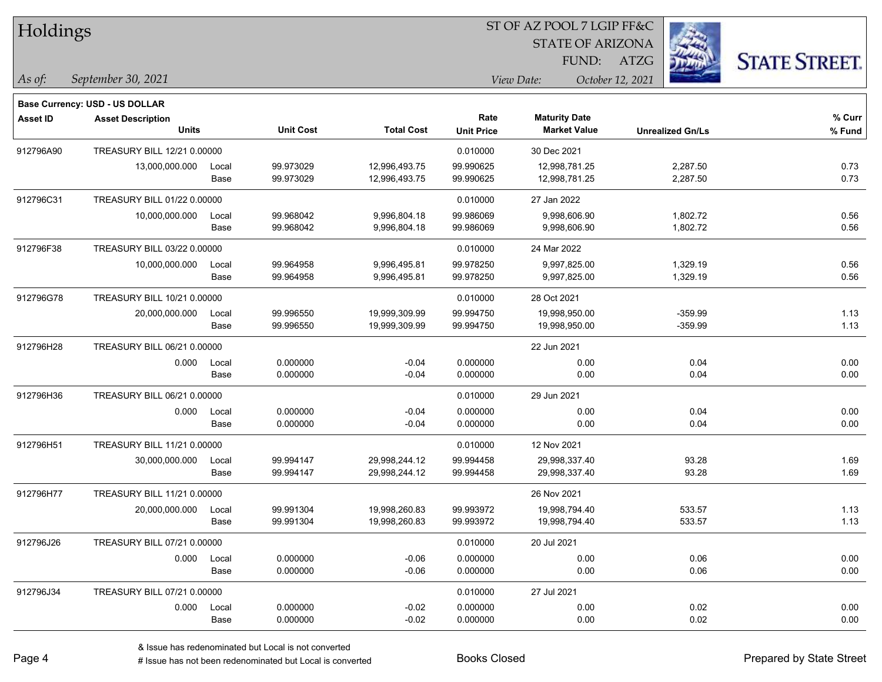| Holdings        |                                                            |       |                  |                   |                   | ST OF AZ POOL 7 LGIP FF&C |                         |                      |  |
|-----------------|------------------------------------------------------------|-------|------------------|-------------------|-------------------|---------------------------|-------------------------|----------------------|--|
|                 |                                                            |       |                  |                   |                   | <b>STATE OF ARIZONA</b>   |                         |                      |  |
|                 |                                                            |       |                  |                   |                   | FUND:                     | ATZG                    | <b>STATE STREET.</b> |  |
| $\vert$ As of:  | September 30, 2021                                         |       |                  |                   |                   | View Date:                | October 12, 2021        |                      |  |
|                 |                                                            |       |                  |                   |                   |                           |                         |                      |  |
| <b>Asset ID</b> | Base Currency: USD - US DOLLAR<br><b>Asset Description</b> |       |                  |                   | Rate              | <b>Maturity Date</b>      |                         | % Curr               |  |
|                 | Units                                                      |       | <b>Unit Cost</b> | <b>Total Cost</b> | <b>Unit Price</b> | <b>Market Value</b>       | <b>Unrealized Gn/Ls</b> | % Fund               |  |
| 912796A90       | TREASURY BILL 12/21 0.00000                                |       |                  |                   | 0.010000          | 30 Dec 2021               |                         |                      |  |
|                 | 13,000,000.000                                             | Local | 99.973029        | 12,996,493.75     | 99.990625         | 12,998,781.25             | 2,287.50                | 0.73                 |  |
|                 |                                                            | Base  | 99.973029        | 12,996,493.75     | 99.990625         | 12,998,781.25             | 2,287.50                | 0.73                 |  |
| 912796C31       | TREASURY BILL 01/22 0.00000                                |       |                  |                   | 0.010000          | 27 Jan 2022               |                         |                      |  |
|                 | 10,000,000.000                                             | Local | 99.968042        | 9,996,804.18      | 99.986069         | 9,998,606.90              | 1,802.72                | 0.56                 |  |
|                 |                                                            | Base  | 99.968042        | 9,996,804.18      | 99.986069         | 9,998,606.90              | 1,802.72                | 0.56                 |  |
| 912796F38       | TREASURY BILL 03/22 0.00000                                |       |                  |                   | 0.010000          | 24 Mar 2022               |                         |                      |  |
|                 | 10,000,000.000                                             | Local | 99.964958        | 9,996,495.81      | 99.978250         | 9,997,825.00              | 1,329.19                | 0.56                 |  |
|                 |                                                            | Base  | 99.964958        | 9,996,495.81      | 99.978250         | 9,997,825.00              | 1,329.19                | 0.56                 |  |
| 912796G78       | TREASURY BILL 10/21 0.00000                                |       |                  |                   | 0.010000          | 28 Oct 2021               |                         |                      |  |
|                 | 20,000,000.000                                             | Local | 99.996550        | 19,999,309.99     | 99.994750         | 19,998,950.00             | $-359.99$               | 1.13                 |  |
|                 |                                                            | Base  | 99.996550        | 19,999,309.99     | 99.994750         | 19,998,950.00             | $-359.99$               | 1.13                 |  |
| 912796H28       | TREASURY BILL 06/21 0.00000                                |       |                  |                   |                   | 22 Jun 2021               |                         |                      |  |
|                 | 0.000                                                      | Local | 0.000000         | $-0.04$           | 0.000000          | 0.00                      | 0.04                    | 0.00                 |  |
|                 |                                                            | Base  | 0.000000         | $-0.04$           | 0.000000          | 0.00                      | 0.04                    | 0.00                 |  |
| 912796H36       | TREASURY BILL 06/21 0.00000                                |       |                  |                   | 0.010000          | 29 Jun 2021               |                         |                      |  |
|                 | 0.000                                                      | Local | 0.000000         | $-0.04$           | 0.000000          | 0.00                      | 0.04                    | 0.00                 |  |
|                 |                                                            | Base  | 0.000000         | $-0.04$           | 0.000000          | 0.00                      | 0.04                    | 0.00                 |  |
| 912796H51       | TREASURY BILL 11/21 0.00000                                |       |                  |                   | 0.010000          | 12 Nov 2021               |                         |                      |  |
|                 | 30,000,000.000                                             | Local | 99.994147        | 29,998,244.12     | 99.994458         | 29,998,337.40             | 93.28                   | 1.69                 |  |
|                 |                                                            | Base  | 99.994147        | 29,998,244.12     | 99.994458         | 29,998,337.40             | 93.28                   | 1.69                 |  |
| 912796H77       | TREASURY BILL 11/21 0.00000                                |       |                  |                   |                   | 26 Nov 2021               |                         |                      |  |
|                 | 20,000,000.000                                             | Local | 99.991304        | 19,998,260.83     | 99.993972         | 19,998,794.40             | 533.57                  | 1.13                 |  |
|                 |                                                            | Base  | 99.991304        | 19,998,260.83     | 99.993972         | 19,998,794.40             | 533.57                  | 1.13                 |  |
| 912796J26       | TREASURY BILL 07/21 0.00000                                |       |                  |                   | 0.010000          | 20 Jul 2021               |                         |                      |  |
|                 | 0.000                                                      | Local | 0.000000         | $-0.06$           | 0.000000          | 0.00                      | 0.06                    | 0.00                 |  |
|                 |                                                            | Base  | 0.000000         | $-0.06$           | 0.000000          | 0.00                      | 0.06                    | 0.00                 |  |
| 912796J34       | TREASURY BILL 07/21 0.00000                                |       |                  |                   | 0.010000          | 27 Jul 2021               |                         |                      |  |
|                 | 0.000                                                      | Local | 0.000000         | $-0.02$           | 0.000000          | 0.00                      | 0.02                    | 0.00                 |  |
|                 |                                                            | Base  | 0.000000         | $-0.02$           | 0.000000          | 0.00                      | 0.02                    | 0.00                 |  |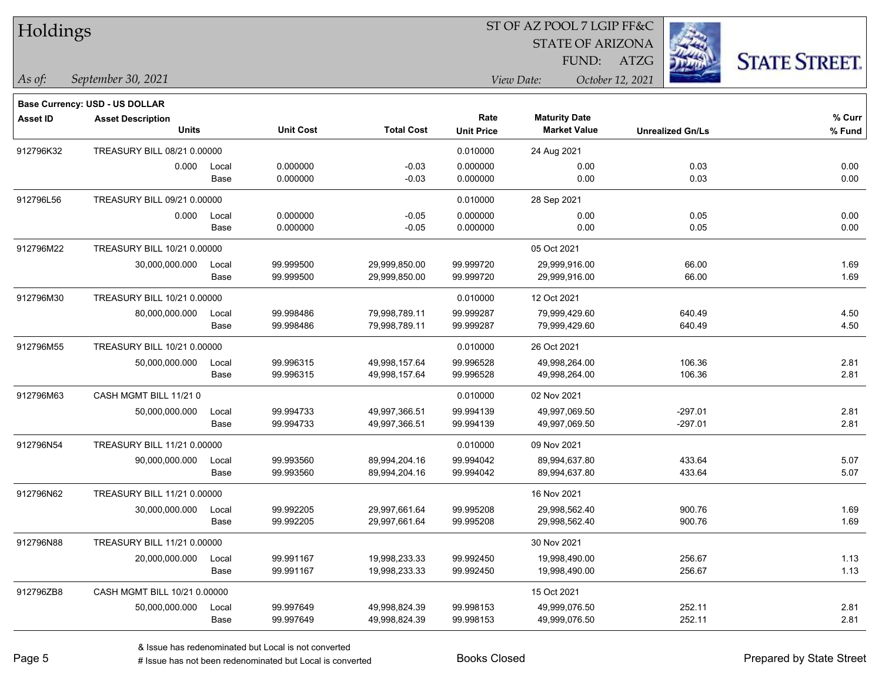| <b>HOIGINGS</b> |                                          |               |                        |                                |                           | <b>STATE OF ARIZONA</b><br>FUND:            | <b>ATZG</b>             | <b>STATE STREET.</b> |
|-----------------|------------------------------------------|---------------|------------------------|--------------------------------|---------------------------|---------------------------------------------|-------------------------|----------------------|
| $ $ As of:      | September 30, 2021                       |               |                        |                                |                           | View Date:                                  | October 12, 2021        |                      |
|                 | Base Currency: USD - US DOLLAR           |               |                        |                                |                           |                                             |                         |                      |
| <b>Asset ID</b> | <b>Asset Description</b><br><b>Units</b> |               | <b>Unit Cost</b>       | <b>Total Cost</b>              | Rate<br><b>Unit Price</b> | <b>Maturity Date</b><br><b>Market Value</b> | <b>Unrealized Gn/Ls</b> | % Curr<br>% Fund     |
| 912796K32       | TREASURY BILL 08/21 0.00000              |               |                        |                                | 0.010000                  | 24 Aug 2021                                 |                         |                      |
|                 | 0.000                                    | Local<br>Base | 0.000000<br>0.000000   | $-0.03$<br>$-0.03$             | 0.000000<br>0.000000      | 0.00<br>0.00                                | 0.03<br>0.03            | 0.00<br>0.00         |
| 912796L56       | TREASURY BILL 09/21 0.00000              |               |                        |                                | 0.010000                  | 28 Sep 2021                                 |                         |                      |
|                 | 0.000                                    | Local<br>Base | 0.000000<br>0.000000   | $-0.05$<br>$-0.05$             | 0.000000<br>0.000000      | 0.00<br>0.00                                | 0.05<br>0.05            | 0.00<br>0.00         |
| 912796M22       | TREASURY BILL 10/21 0.00000              |               |                        |                                |                           | 05 Oct 2021                                 |                         |                      |
|                 | 30,000,000.000                           | Local<br>Base | 99.999500<br>99.999500 | 29,999,850.00<br>29,999,850.00 | 99.999720<br>99.999720    | 29,999,916.00<br>29,999,916.00              | 66.00<br>66.00          | 1.69<br>1.69         |
| 912796M30       | TREASURY BILL 10/21 0.00000              |               |                        |                                | 0.010000                  | 12 Oct 2021                                 |                         |                      |
|                 | 80,000,000.000                           | Local<br>Base | 99.998486<br>99.998486 | 79,998,789.11<br>79,998,789.11 | 99.999287<br>99.999287    | 79,999,429.60<br>79,999,429.60              | 640.49<br>640.49        | 4.50<br>4.50         |
| 912796M55       | TREASURY BILL 10/21 0.00000              |               |                        |                                | 0.010000                  | 26 Oct 2021                                 |                         |                      |
|                 | 50,000,000.000                           | Local<br>Base | 99.996315<br>99.996315 | 49,998,157.64<br>49,998,157.64 | 99.996528<br>99.996528    | 49,998,264.00<br>49,998,264.00              | 106.36<br>106.36        | 2.81<br>2.81         |
| 912796M63       | CASH MGMT BILL 11/210                    |               |                        |                                | 0.010000                  | 02 Nov 2021                                 |                         |                      |
|                 | 50,000,000.000                           | Local<br>Base | 99.994733<br>99.994733 | 49,997,366.51<br>49,997,366.51 | 99.994139<br>99.994139    | 49,997,069.50<br>49,997,069.50              | $-297.01$<br>$-297.01$  | 2.81<br>2.81         |
| 912796N54       | TREASURY BILL 11/21 0.00000              |               |                        |                                | 0.010000                  | 09 Nov 2021                                 |                         |                      |
|                 | 90,000,000.000                           | Local<br>Base | 99.993560<br>99.993560 | 89,994,204.16<br>89,994,204.16 | 99.994042<br>99.994042    | 89,994,637.80<br>89,994,637.80              | 433.64<br>433.64        | 5.07<br>5.07         |
| 912796N62       | TREASURY BILL 11/21 0.00000              |               |                        |                                |                           | 16 Nov 2021                                 |                         |                      |
|                 | 30,000,000.000                           | Local<br>Base | 99.992205<br>99.992205 | 29,997,661.64<br>29,997,661.64 | 99.995208<br>99.995208    | 29,998,562.40<br>29,998,562.40              | 900.76<br>900.76        | 1.69<br>1.69         |
| 912796N88       | TREASURY BILL 11/21 0.00000              |               |                        |                                |                           | 30 Nov 2021                                 |                         |                      |
|                 | 20,000,000.000                           | Local<br>Base | 99.991167<br>99.991167 | 19,998,233.33<br>19,998,233.33 | 99.992450<br>99.992450    | 19,998,490.00<br>19,998,490.00              | 256.67<br>256.67        | 1.13<br>1.13         |
| 912796ZB8       | CASH MGMT BILL 10/21 0.00000             |               |                        |                                |                           | 15 Oct 2021                                 |                         |                      |
|                 | 50,000,000.000                           | Local<br>Base | 99.997649<br>99.997649 | 49,998,824.39<br>49,998,824.39 | 99.998153<br>99.998153    | 49,999,076.50<br>49,999,076.50              | 252.11<br>252.11        | 2.81<br>2.81         |

ST OF AZ POOL 7 LGIP FF&C

 $TT.1.1$ 

# Issue has not been redenominated but Local is converted Books Closed Prepared by State Street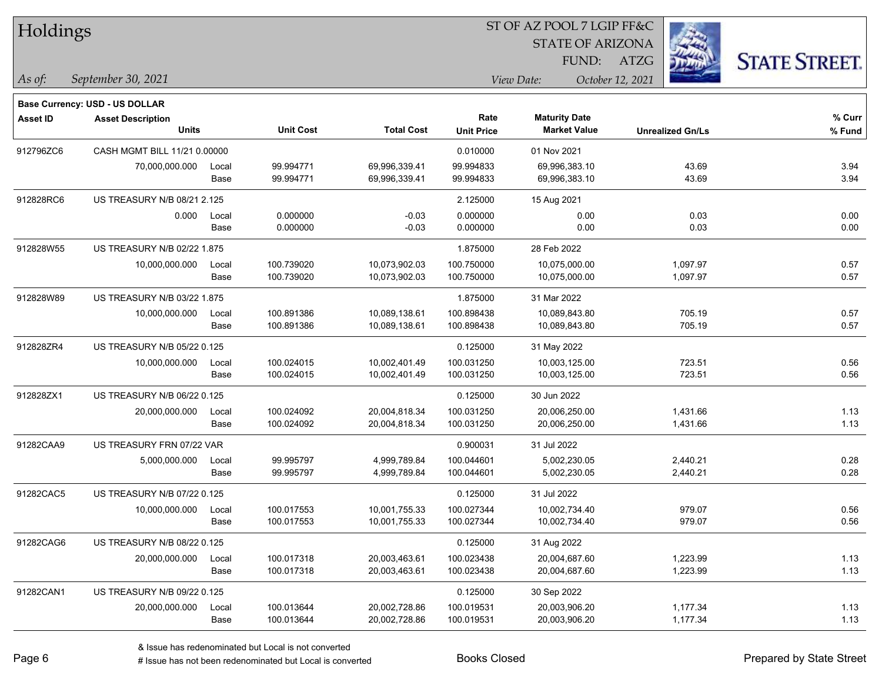| Holdings        |                                    |       |                  | ST OF AZ POOL 7 LGIP FF&C |                   |                         |                         |                      |  |  |
|-----------------|------------------------------------|-------|------------------|---------------------------|-------------------|-------------------------|-------------------------|----------------------|--|--|
|                 |                                    |       |                  |                           |                   | <b>STATE OF ARIZONA</b> |                         |                      |  |  |
|                 |                                    |       |                  |                           |                   | FUND:                   | <b>ATZG</b>             | <b>STATE STREET.</b> |  |  |
| As of:          | September 30, 2021                 |       |                  |                           |                   | View Date:              | October 12, 2021        |                      |  |  |
|                 | Base Currency: USD - US DOLLAR     |       |                  |                           |                   |                         |                         |                      |  |  |
| <b>Asset ID</b> | <b>Asset Description</b>           |       |                  |                           | Rate              | <b>Maturity Date</b>    |                         | % Curr               |  |  |
|                 | <b>Units</b>                       |       | <b>Unit Cost</b> | <b>Total Cost</b>         | <b>Unit Price</b> | <b>Market Value</b>     | <b>Unrealized Gn/Ls</b> | % Fund               |  |  |
| 912796ZC6       | CASH MGMT BILL 11/21 0.00000       |       |                  |                           | 0.010000          | 01 Nov 2021             |                         |                      |  |  |
|                 | 70,000,000.000                     | Local | 99.994771        | 69,996,339.41             | 99.994833         | 69,996,383.10           | 43.69                   | 3.94                 |  |  |
|                 |                                    | Base  | 99.994771        | 69,996,339.41             | 99.994833         | 69,996,383.10           | 43.69                   | 3.94                 |  |  |
| 912828RC6       | US TREASURY N/B 08/21 2.125        |       |                  |                           | 2.125000          | 15 Aug 2021             |                         |                      |  |  |
|                 | 0.000                              | Local | 0.000000         | $-0.03$                   | 0.000000          | 0.00                    | 0.03                    | 0.00                 |  |  |
|                 |                                    | Base  | 0.000000         | $-0.03$                   | 0.000000          | 0.00                    | 0.03                    | 0.00                 |  |  |
| 912828W55       | <b>US TREASURY N/B 02/22 1.875</b> |       |                  |                           | 1.875000          | 28 Feb 2022             |                         |                      |  |  |
|                 | 10,000,000.000                     | Local | 100.739020       | 10,073,902.03             | 100.750000        | 10,075,000.00           | 1,097.97                | 0.57                 |  |  |
|                 |                                    | Base  | 100.739020       | 10,073,902.03             | 100.750000        | 10,075,000.00           | 1,097.97                | 0.57                 |  |  |
| 912828W89       | US TREASURY N/B 03/22 1.875        |       |                  |                           | 1.875000          | 31 Mar 2022             |                         |                      |  |  |
|                 | 10,000,000.000                     | Local | 100.891386       | 10,089,138.61             | 100.898438        | 10,089,843.80           | 705.19                  | 0.57                 |  |  |
|                 |                                    | Base  | 100.891386       | 10,089,138.61             | 100.898438        | 10,089,843.80           | 705.19                  | 0.57                 |  |  |
| 912828ZR4       | US TREASURY N/B 05/22 0.125        |       |                  |                           | 0.125000          | 31 May 2022             |                         |                      |  |  |
|                 | 10,000,000.000                     | Local | 100.024015       | 10,002,401.49             | 100.031250        | 10,003,125.00           | 723.51                  | 0.56                 |  |  |
|                 |                                    | Base  | 100.024015       | 10,002,401.49             | 100.031250        | 10,003,125.00           | 723.51                  | 0.56                 |  |  |
| 912828ZX1       | US TREASURY N/B 06/22 0.125        |       |                  |                           | 0.125000          | 30 Jun 2022             |                         |                      |  |  |
|                 | 20,000,000.000                     | Local | 100.024092       | 20,004,818.34             | 100.031250        | 20,006,250.00           | 1,431.66                | 1.13                 |  |  |
|                 |                                    | Base  | 100.024092       | 20,004,818.34             | 100.031250        | 20,006,250.00           | 1,431.66                | 1.13                 |  |  |
| 91282CAA9       | US TREASURY FRN 07/22 VAR          |       |                  |                           | 0.900031          | 31 Jul 2022             |                         |                      |  |  |
|                 | 5,000,000.000                      | Local | 99.995797        | 4,999,789.84              | 100.044601        | 5,002,230.05            | 2,440.21                | 0.28                 |  |  |
|                 |                                    | Base  | 99.995797        | 4,999,789.84              | 100.044601        | 5,002,230.05            | 2,440.21                | 0.28                 |  |  |
| 91282CAC5       | US TREASURY N/B 07/22 0.125        |       |                  |                           | 0.125000          | 31 Jul 2022             |                         |                      |  |  |
|                 | 10,000,000.000                     | Local | 100.017553       | 10,001,755.33             | 100.027344        | 10,002,734.40           | 979.07                  | 0.56                 |  |  |
|                 |                                    | Base  | 100.017553       | 10,001,755.33             | 100.027344        | 10,002,734.40           | 979.07                  | 0.56                 |  |  |
| 91282CAG6       | US TREASURY N/B 08/22 0.125        |       |                  |                           | 0.125000          | 31 Aug 2022             |                         |                      |  |  |
|                 | 20,000,000.000                     | Local | 100.017318       | 20,003,463.61             | 100.023438        | 20,004,687.60           | 1,223.99                | 1.13                 |  |  |
|                 |                                    | Base  | 100.017318       | 20,003,463.61             | 100.023438        | 20,004,687.60           | 1,223.99                | 1.13                 |  |  |
| 91282CAN1       | US TREASURY N/B 09/22 0.125        |       |                  |                           | 0.125000          | 30 Sep 2022             |                         |                      |  |  |
|                 | 20,000,000.000                     | Local | 100.013644       | 20,002,728.86             | 100.019531        | 20,003,906.20           | 1,177.34                | 1.13                 |  |  |
|                 |                                    | Base  | 100.013644       | 20,002,728.86             | 100.019531        | 20,003,906.20           | 1,177.34                | 1.13                 |  |  |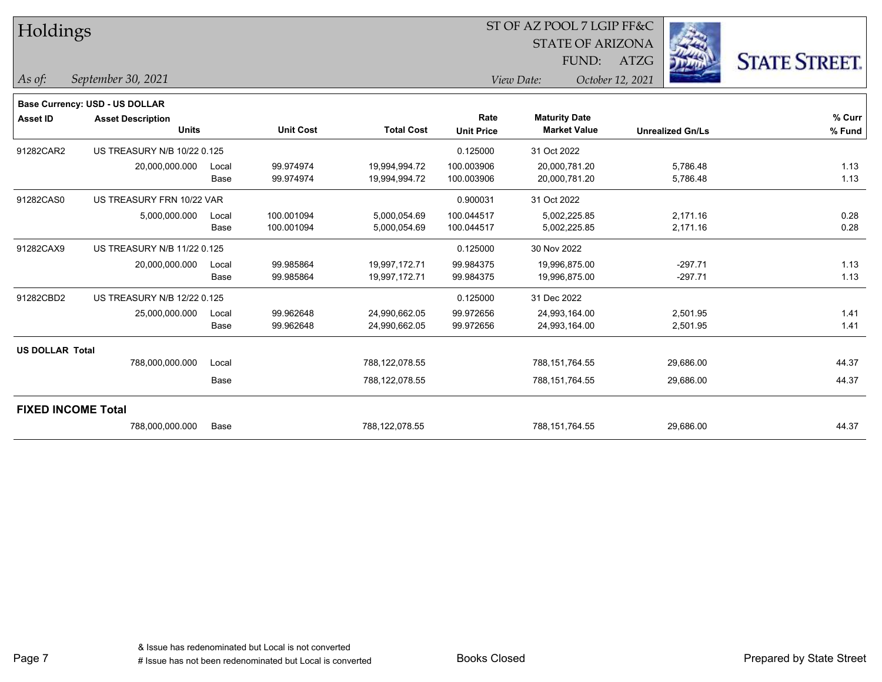| Holdings               |                                                            |       |                  |                   |                   | ST OF AZ POOL 7 LGIP FF&C |                  |                         |                      |
|------------------------|------------------------------------------------------------|-------|------------------|-------------------|-------------------|---------------------------|------------------|-------------------------|----------------------|
|                        |                                                            |       |                  |                   |                   | <b>STATE OF ARIZONA</b>   |                  |                         |                      |
|                        |                                                            |       |                  |                   |                   | FUND:                     | <b>ATZG</b>      |                         | <b>STATE STREET.</b> |
| $\vert$ As of:         | September 30, 2021                                         |       |                  |                   |                   | View Date:                | October 12, 2021 |                         |                      |
|                        |                                                            |       |                  |                   |                   |                           |                  |                         |                      |
| <b>Asset ID</b>        | Base Currency: USD - US DOLLAR<br><b>Asset Description</b> |       |                  |                   | Rate              | <b>Maturity Date</b>      |                  |                         | % Curr               |
|                        | <b>Units</b>                                               |       | <b>Unit Cost</b> | <b>Total Cost</b> | <b>Unit Price</b> | <b>Market Value</b>       |                  | <b>Unrealized Gn/Ls</b> | % Fund               |
| 91282CAR2              | US TREASURY N/B 10/22 0.125                                |       |                  |                   | 0.125000          | 31 Oct 2022               |                  |                         |                      |
|                        | 20,000,000.000                                             | Local | 99.974974        | 19,994,994.72     | 100.003906        | 20,000,781.20             |                  | 5,786.48                | 1.13                 |
|                        |                                                            | Base  | 99.974974        | 19,994,994.72     | 100.003906        | 20,000,781.20             |                  | 5,786.48                | 1.13                 |
| 91282CAS0              | US TREASURY FRN 10/22 VAR                                  |       |                  |                   | 0.900031          | 31 Oct 2022               |                  |                         |                      |
|                        | 5,000,000.000                                              | Local | 100.001094       | 5,000,054.69      | 100.044517        | 5,002,225.85              |                  | 2,171.16                | 0.28                 |
|                        |                                                            | Base  | 100.001094       | 5,000,054.69      | 100.044517        | 5,002,225.85              |                  | 2,171.16                | 0.28                 |
| 91282CAX9              | US TREASURY N/B 11/22 0.125                                |       |                  |                   | 0.125000          | 30 Nov 2022               |                  |                         |                      |
|                        | 20,000,000.000                                             | Local | 99.985864        | 19,997,172.71     | 99.984375         | 19,996,875.00             |                  | $-297.71$               | 1.13                 |
|                        |                                                            | Base  | 99.985864        | 19,997,172.71     | 99.984375         | 19,996,875.00             |                  | $-297.71$               | 1.13                 |
| 91282CBD2              | US TREASURY N/B 12/22 0.125                                |       |                  |                   | 0.125000          | 31 Dec 2022               |                  |                         |                      |
|                        | 25,000,000.000                                             | Local | 99.962648        | 24,990,662.05     | 99.972656         | 24,993,164.00             |                  | 2,501.95                | 1.41                 |
|                        |                                                            | Base  | 99.962648        | 24,990,662.05     | 99.972656         | 24,993,164.00             |                  | 2,501.95                | 1.41                 |
| <b>US DOLLAR Total</b> |                                                            |       |                  |                   |                   |                           |                  |                         |                      |
|                        | 788,000,000.000                                            | Local |                  | 788,122,078.55    |                   | 788,151,764.55            |                  | 29,686.00               | 44.37                |
|                        |                                                            | Base  |                  | 788,122,078.55    |                   | 788,151,764.55            |                  | 29,686.00               | 44.37                |
|                        | <b>FIXED INCOME Total</b>                                  |       |                  |                   |                   |                           |                  |                         |                      |
|                        | 788,000,000.000                                            | Base  |                  | 788,122,078.55    |                   | 788,151,764.55            |                  | 29,686.00               | 44.37                |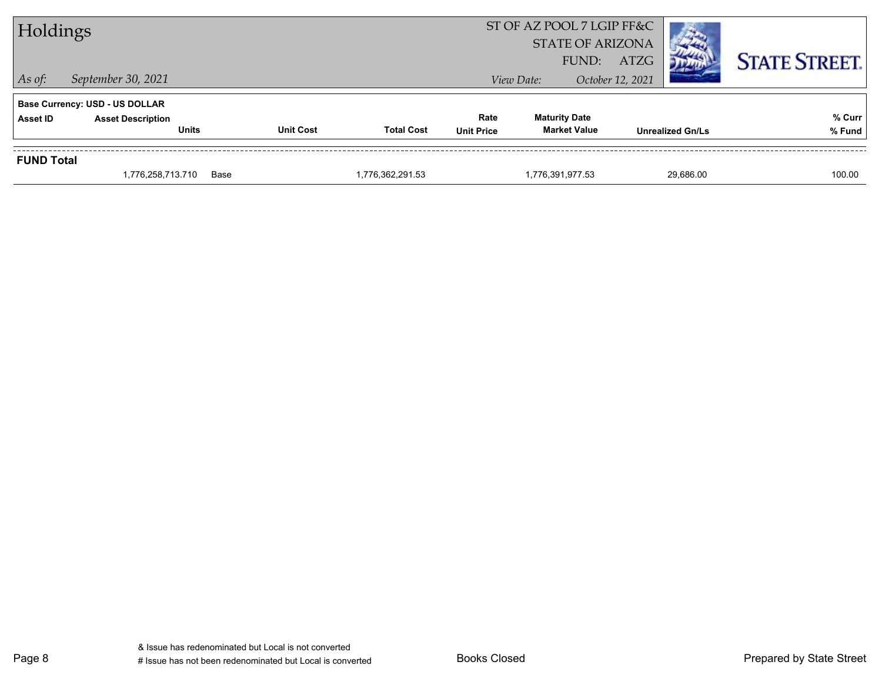| Holdings          |                                          |                  |                   |                           | ST OF AZ POOL 7 LGIP FF&C<br><b>STATE OF ARIZONA</b><br>FUND: | ATZG                    |           | <b>STATE STREET.</b> |
|-------------------|------------------------------------------|------------------|-------------------|---------------------------|---------------------------------------------------------------|-------------------------|-----------|----------------------|
| $\vert$ As of:    | September 30, 2021                       |                  |                   |                           | View Date:                                                    | October 12, 2021        |           |                      |
|                   | <b>Base Currency: USD - US DOLLAR</b>    |                  |                   |                           |                                                               |                         |           |                      |
| <b>Asset ID</b>   | <b>Asset Description</b><br><b>Units</b> | <b>Unit Cost</b> | <b>Total Cost</b> | Rate<br><b>Unit Price</b> | <b>Maturity Date</b><br><b>Market Value</b>                   | <b>Unrealized Gn/Ls</b> |           | % Curr               |
|                   |                                          |                  |                   |                           |                                                               |                         |           | % Fund               |
| <b>FUND Total</b> |                                          |                  |                   |                           |                                                               |                         |           |                      |
|                   | 1,776,258,713.710                        | Base             | 1,776,362,291.53  |                           | 1,776,391,977.53                                              |                         | 29.686.00 | 100.00               |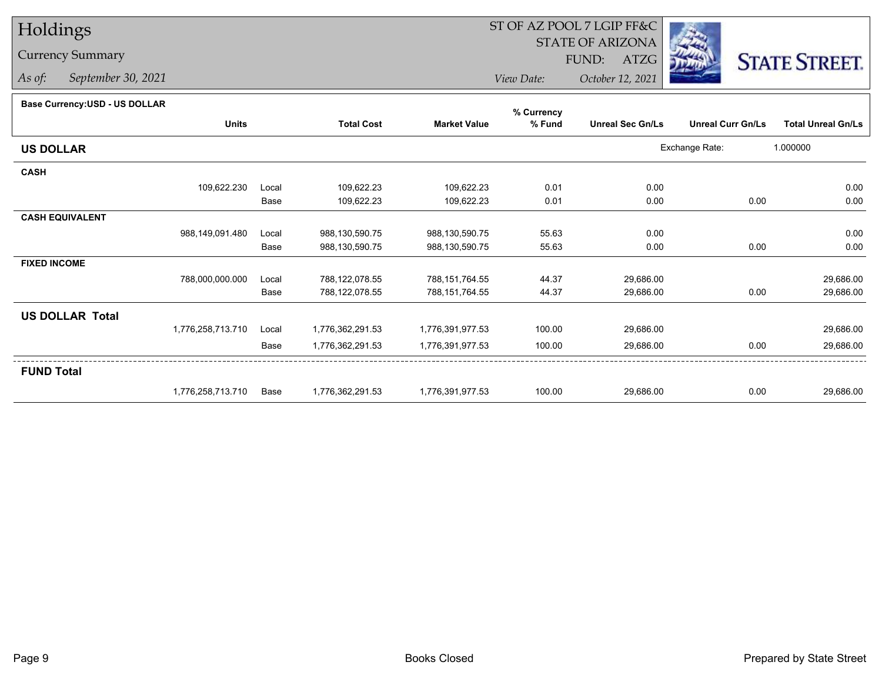## Holdings

## Currency Summary

*As of: September 30, 2021*

## ST OF AZ POOL 7 LGIP FF&C

STATE OF ARIZONA

FUND: ATZG



*View Date:October 12, 2021*

| Dase Currency: USD - US DULLAR |                   |       |                   |                     | % Currency |                         |                          |                           |
|--------------------------------|-------------------|-------|-------------------|---------------------|------------|-------------------------|--------------------------|---------------------------|
|                                | <b>Units</b>      |       | <b>Total Cost</b> | <b>Market Value</b> | % Fund     | <b>Unreal Sec Gn/Ls</b> | <b>Unreal Curr Gn/Ls</b> | <b>Total Unreal Gn/Ls</b> |
| <b>US DOLLAR</b>               |                   |       |                   |                     |            |                         | Exchange Rate:           | 1.000000                  |
| <b>CASH</b>                    |                   |       |                   |                     |            |                         |                          |                           |
|                                | 109,622.230       | Local | 109,622.23        | 109,622.23          | 0.01       | 0.00                    |                          | 0.00                      |
|                                |                   | Base  | 109,622.23        | 109,622.23          | 0.01       | 0.00                    | 0.00                     | 0.00                      |
| <b>CASH EQUIVALENT</b>         |                   |       |                   |                     |            |                         |                          |                           |
|                                | 988,149,091.480   | Local | 988,130,590.75    | 988,130,590.75      | 55.63      | 0.00                    |                          | 0.00                      |
|                                |                   | Base  | 988,130,590.75    | 988,130,590.75      | 55.63      | 0.00                    | 0.00                     | 0.00                      |
| <b>FIXED INCOME</b>            |                   |       |                   |                     |            |                         |                          |                           |
|                                | 788,000,000.000   | Local | 788,122,078.55    | 788,151,764.55      | 44.37      | 29,686.00               |                          | 29,686.00                 |
|                                |                   | Base  | 788,122,078.55    | 788,151,764.55      | 44.37      | 29,686.00               | 0.00                     | 29,686.00                 |
| <b>US DOLLAR Total</b>         |                   |       |                   |                     |            |                         |                          |                           |
|                                | 1,776,258,713.710 | Local | 1,776,362,291.53  | 1,776,391,977.53    | 100.00     | 29,686.00               |                          | 29,686.00                 |
|                                |                   | Base  | 1,776,362,291.53  | 1,776,391,977.53    | 100.00     | 29,686.00               | 0.00                     | 29,686.00                 |
| <b>FUND Total</b>              |                   |       |                   |                     |            |                         |                          |                           |
|                                | 1,776,258,713.710 | Base  | 1,776,362,291.53  | 1,776,391,977.53    | 100.00     | 29,686.00               | 0.00                     | 29,686.00                 |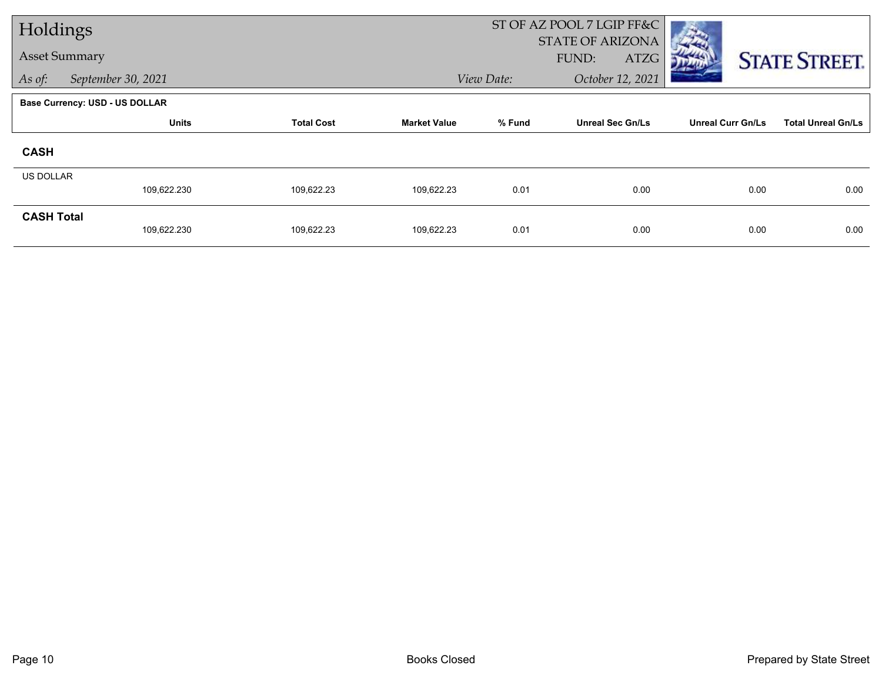| Holdings             |                                       |                   |                     |            | ST OF AZ POOL 7 LGIP FF&C         |                          |                           |
|----------------------|---------------------------------------|-------------------|---------------------|------------|-----------------------------------|--------------------------|---------------------------|
| <b>Asset Summary</b> |                                       |                   |                     |            | STATE OF ARIZONA<br>FUND:<br>ATZG |                          | <b>STATE STREET.</b>      |
| As of:               | September 30, 2021                    |                   |                     | View Date: | October 12, 2021                  |                          |                           |
|                      | <b>Base Currency: USD - US DOLLAR</b> |                   |                     |            |                                   |                          |                           |
|                      | <b>Units</b>                          | <b>Total Cost</b> | <b>Market Value</b> | % Fund     | <b>Unreal Sec Gn/Ls</b>           | <b>Unreal Curr Gn/Ls</b> | <b>Total Unreal Gn/Ls</b> |
| <b>CASH</b>          |                                       |                   |                     |            |                                   |                          |                           |
| <b>US DOLLAR</b>     |                                       |                   |                     |            |                                   |                          |                           |
|                      | 109,622.230                           | 109,622.23        | 109,622.23          | 0.01       | 0.00                              | 0.00                     | 0.00                      |
| <b>CASH Total</b>    | 109,622.230                           | 109,622.23        | 109,622.23          | 0.01       | 0.00                              | 0.00                     | 0.00                      |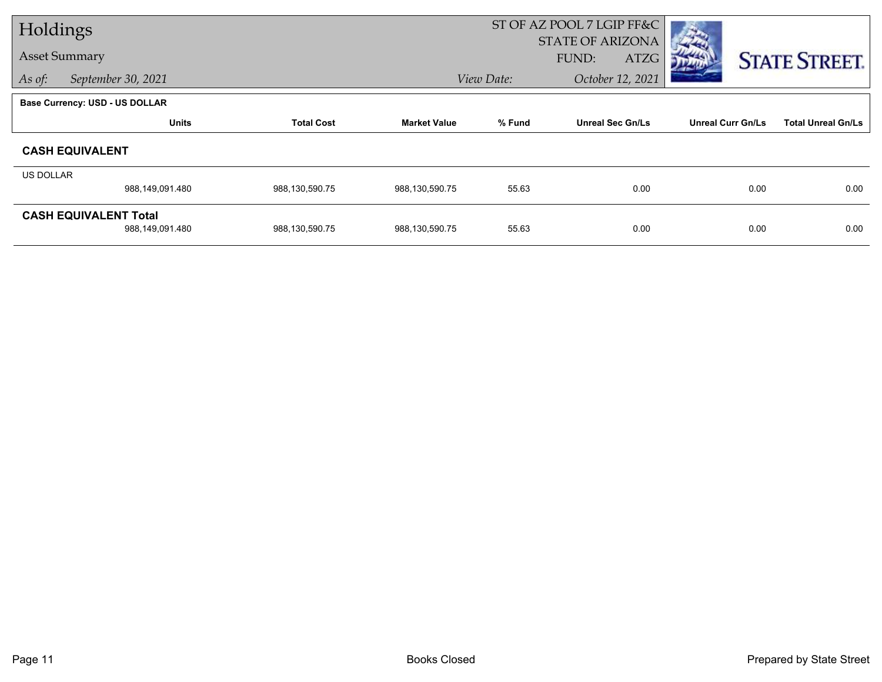| Holdings         |                                       |                   |                     |            | ST OF AZ POOL 7 LGIP FF&C        |                          |                           |
|------------------|---------------------------------------|-------------------|---------------------|------------|----------------------------------|--------------------------|---------------------------|
|                  | <b>Asset Summary</b>                  |                   |                     |            | <b>STATE OF ARIZONA</b><br>FUND: |                          |                           |
|                  |                                       |                   |                     |            | ATZG                             |                          | <b>STATE STREET.</b>      |
| As of:           | September 30, 2021                    |                   |                     | View Date: | October 12, 2021                 |                          |                           |
|                  | <b>Base Currency: USD - US DOLLAR</b> |                   |                     |            |                                  |                          |                           |
|                  | <b>Units</b>                          | <b>Total Cost</b> | <b>Market Value</b> | % Fund     | <b>Unreal Sec Gn/Ls</b>          | <b>Unreal Curr Gn/Ls</b> | <b>Total Unreal Gn/Ls</b> |
|                  | <b>CASH EQUIVALENT</b>                |                   |                     |            |                                  |                          |                           |
| <b>US DOLLAR</b> |                                       |                   |                     |            |                                  |                          |                           |
|                  | 988,149,091.480                       | 988,130,590.75    | 988,130,590.75      | 55.63      | 0.00                             | 0.00                     | 0.00                      |
|                  | <b>CASH EQUIVALENT Total</b>          |                   |                     |            |                                  |                          |                           |
|                  | 988,149,091.480                       | 988,130,590.75    | 988,130,590.75      | 55.63      | 0.00                             | 0.00                     | 0.00                      |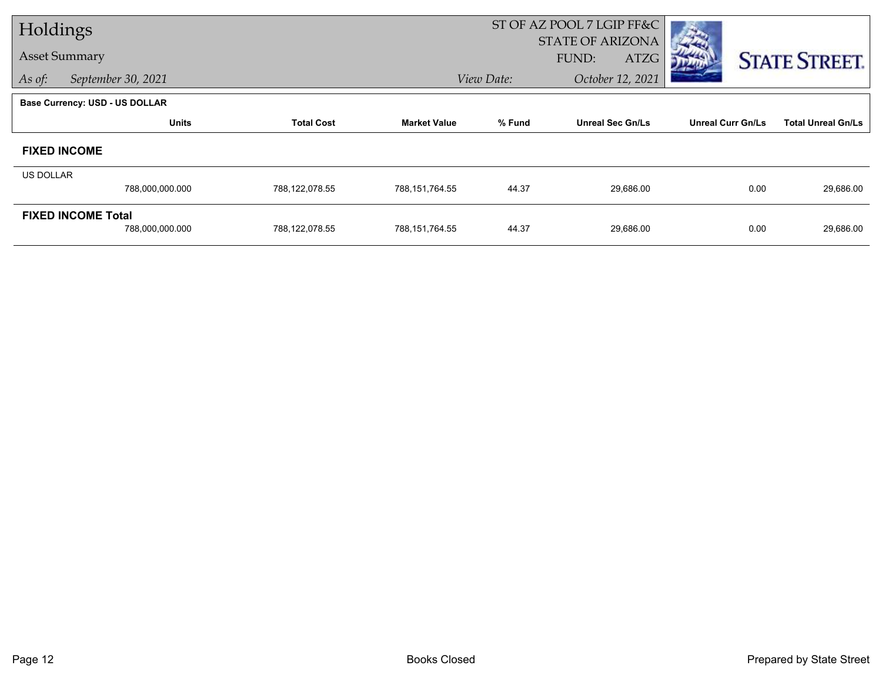| Holdings                              |                           |                   |                     | ST OF AZ POOL 7 LGIP FF&C |                         |                          |                           |  |
|---------------------------------------|---------------------------|-------------------|---------------------|---------------------------|-------------------------|--------------------------|---------------------------|--|
| <b>Asset Summary</b>                  |                           |                   |                     |                           | <b>STATE OF ARIZONA</b> |                          |                           |  |
|                                       |                           |                   |                     |                           | FUND:<br>ATZG           |                          | <b>STATE STREET.</b>      |  |
| As of:                                | September 30, 2021        |                   |                     | View Date:                | October 12, 2021        |                          |                           |  |
| <b>Base Currency: USD - US DOLLAR</b> |                           |                   |                     |                           |                         |                          |                           |  |
|                                       | <b>Units</b>              | <b>Total Cost</b> | <b>Market Value</b> | % Fund                    | <b>Unreal Sec Gn/Ls</b> | <b>Unreal Curr Gn/Ls</b> | <b>Total Unreal Gn/Ls</b> |  |
| <b>FIXED INCOME</b>                   |                           |                   |                     |                           |                         |                          |                           |  |
| <b>US DOLLAR</b>                      |                           |                   |                     |                           |                         |                          |                           |  |
|                                       | 788,000,000.000           | 788,122,078.55    | 788,151,764.55      | 44.37                     | 29,686.00               | 0.00                     | 29,686.00                 |  |
|                                       | <b>FIXED INCOME Total</b> |                   |                     |                           |                         |                          |                           |  |
|                                       | 788,000,000.000           | 788,122,078.55    | 788,151,764.55      | 44.37                     | 29,686.00               | 0.00                     | 29,686.00                 |  |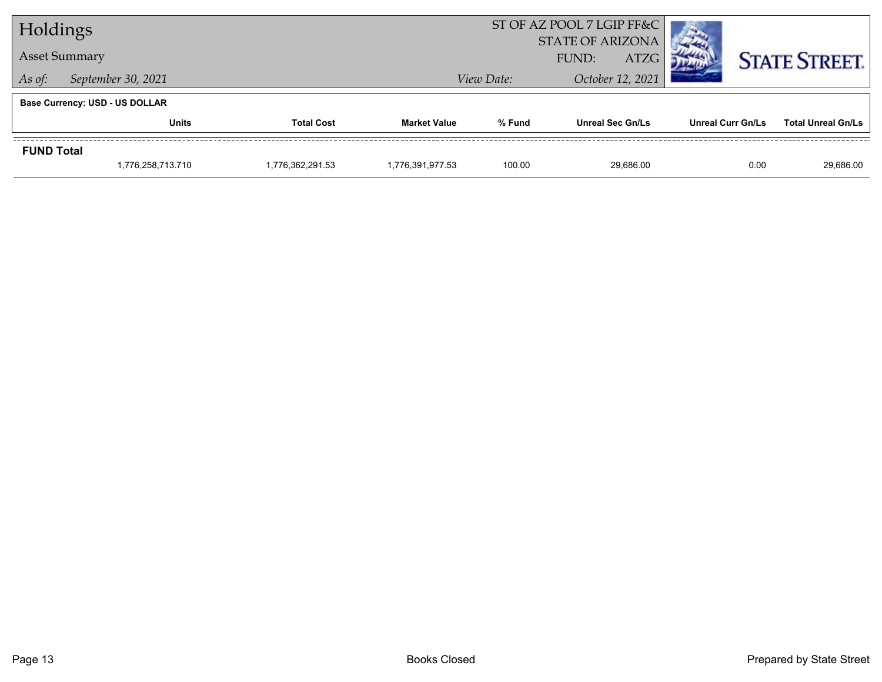| Holdings                     |                                       |                   | ST OF AZ POOL 7 LGIP FF&C |                                                        |                         |                          |                           |  |
|------------------------------|---------------------------------------|-------------------|---------------------------|--------------------------------------------------------|-------------------------|--------------------------|---------------------------|--|
|                              |                                       |                   | <b>STATE OF ARIZONA</b>   |                                                        |                         |                          |                           |  |
| <b>Asset Summary</b>         |                                       |                   |                           | <b>ATZG</b><br>FUND:<br>October 12, 2021<br>View Date: |                         |                          | <b>STATE STREET.</b>      |  |
| September 30, 2021<br>As of: |                                       |                   |                           |                                                        |                         |                          |                           |  |
|                              | <b>Base Currency: USD - US DOLLAR</b> |                   |                           |                                                        |                         |                          |                           |  |
|                              | <b>Units</b>                          | <b>Total Cost</b> | <b>Market Value</b>       | % Fund                                                 | <b>Unreal Sec Gn/Ls</b> | <b>Unreal Curr Gn/Ls</b> | <b>Total Unreal Gn/Ls</b> |  |
| <b>FUND Total</b>            |                                       |                   |                           |                                                        |                         |                          |                           |  |
|                              | 1,776,258,713.710                     | 1,776,362,291.53  | 1,776,391,977.53          | 100.00                                                 | 29.686.00               |                          | 0.00<br>29,686.00         |  |